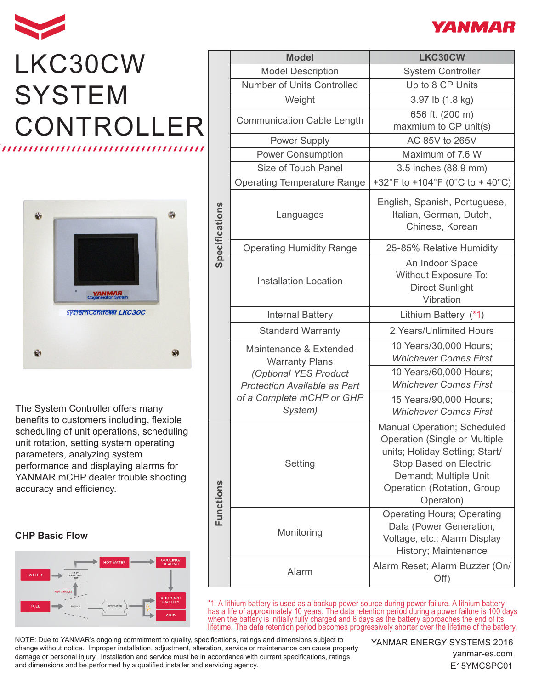

## LKC30CW **SYSTEM** CONTROLLER ,,,,,,,,,,,,,,,,,,,,,,,,,,,,,,



The System Controller offers many benefits to customers including, flexible scheduling of unit operations, scheduling unit rotation, setting system operating parameters, analyzing system performance and displaying alarms for YANMAR mCHP dealer trouble shooting accuracy and efficiency.

## **CHP Basic Flow**



|                | <b>Model</b>                                                                                                                                            | LKC30CW                                                                                                                                                                                                                  |
|----------------|---------------------------------------------------------------------------------------------------------------------------------------------------------|--------------------------------------------------------------------------------------------------------------------------------------------------------------------------------------------------------------------------|
| Specifications | <b>Model Description</b>                                                                                                                                | <b>System Controller</b>                                                                                                                                                                                                 |
|                | Number of Units Controlled                                                                                                                              | Up to 8 CP Units                                                                                                                                                                                                         |
|                | Weight                                                                                                                                                  | 3.97 lb (1.8 kg)                                                                                                                                                                                                         |
|                | <b>Communication Cable Length</b>                                                                                                                       | 656 ft. (200 m)<br>maxmium to CP unit(s)                                                                                                                                                                                 |
|                | <b>Power Supply</b>                                                                                                                                     | AC 85V to 265V                                                                                                                                                                                                           |
|                | <b>Power Consumption</b>                                                                                                                                | Maximum of 7.6 W                                                                                                                                                                                                         |
|                | Size of Touch Panel                                                                                                                                     | 3.5 inches (88.9 mm)                                                                                                                                                                                                     |
|                | <b>Operating Temperature Range</b>                                                                                                                      | +32°F to +104°F (0°C to + 40°C)                                                                                                                                                                                          |
|                | Languages                                                                                                                                               | English, Spanish, Portuguese,<br>Italian, German, Dutch,<br>Chinese, Korean                                                                                                                                              |
|                | <b>Operating Humidity Range</b>                                                                                                                         | 25-85% Relative Humidity                                                                                                                                                                                                 |
|                | <b>Installation Location</b>                                                                                                                            | An Indoor Space<br>Without Exposure To:<br><b>Direct Sunlight</b><br>Vibration                                                                                                                                           |
|                | <b>Internal Battery</b>                                                                                                                                 | Lithium Battery (*1)                                                                                                                                                                                                     |
|                | <b>Standard Warranty</b>                                                                                                                                | 2 Years/Unlimited Hours                                                                                                                                                                                                  |
|                | Maintenance & Extended<br><b>Warranty Plans</b><br>(Optional YES Product<br><b>Protection Available as Part</b><br>of a Complete mCHP or GHP<br>System) | 10 Years/30,000 Hours;<br><b>Whichever Comes First</b>                                                                                                                                                                   |
|                |                                                                                                                                                         | 10 Years/60,000 Hours;<br><b>Whichever Comes First</b>                                                                                                                                                                   |
|                |                                                                                                                                                         | 15 Years/90,000 Hours;<br><b>Whichever Comes First</b>                                                                                                                                                                   |
| Functions      | Setting                                                                                                                                                 | <b>Manual Operation; Scheduled</b><br><b>Operation (Single or Multiple</b><br>units; Holiday Setting; Start/<br><b>Stop Based on Electric</b><br>Demand; Multiple Unit<br><b>Operation (Rotation, Group</b><br>Operaton) |
|                | Monitoring                                                                                                                                              | <b>Operating Hours; Operating</b><br>Data (Power Generation,<br>Voltage, etc.; Alarm Display<br>History; Maintenance                                                                                                     |
|                | Alarm                                                                                                                                                   | Alarm Reset; Alarm Buzzer (On/<br>Off)                                                                                                                                                                                   |

\*1: A lithium battery is used as a backup power source during power failure. A lithium battery has a life of approximately 10 years. The data retention period during a power failure is 100 days when the battery is initially fully charged and 6 days as the battery approaches the end of its lifetime. The data retention period becomes progressively shorter over the lifetime of the battery.

NOTE: Due to YANMAR's ongoing commitment to quality, specifications, ratings and dimensions subject to change without notice. Improper installation, adjustment, alteration, service or maintenance can cause property damage or personal injury. Installation and service must be in accordance with current specifications, ratings and dimensions and be performed by a qualified installer and servicing agency.

YANMAR ENERGY SYSTEMS 2016

yanmar-es.com E15YMCSPC01